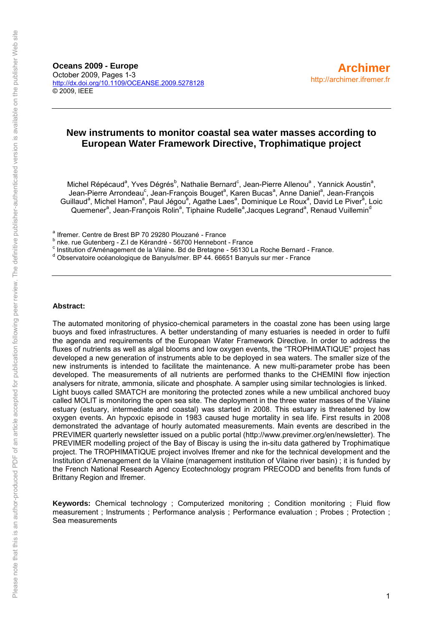**Oceans 2009 - Europe** October 2009, Pages 1-3 <http://dx.doi.org/10.1109/OCEANSE.2009.5278128> © 2009, IEEE

# **New instruments to monitor coastal sea water masses according to European Water Framework Directive, Trophimatique project**

Michel Répécaud<sup>a</sup>, Yves Dégrés<sup>b</sup>, Nathalie Bernard<sup>c</sup>, Jean-Pierre Allenou<sup>a</sup>, Yannick Aoustin<sup>a</sup>, Jean-Pierre Arrondeau<sup>c</sup>, Jean-François Bouget<sup>a</sup>, Karen Bucas<sup>a</sup>, Anne Daniel<sup>a</sup>, Jean-François Guillaud<sup>a</sup>, Michel Hamon<sup>a</sup>, Paul Jégou<sup>a</sup>, Agathe Laes<sup>a</sup>, Dominique Le Roux<sup>a</sup>, David Le Piver<sup>a</sup>, Loic Quemener<sup>a</sup>, Jean-François Rolin<sup>a</sup>, Tiphaine Rudelle<sup>a</sup>, Jacques Legrand<sup>a</sup>, Renaud Vuillemin<sup>d</sup>

a Ifremer. Centre de Brest BP 70 29280 Plouzané - France

<sup>b</sup> nke. rue Gutenberg - Z.I de Kérandré - 56700 Hennebont - France

c Institution d'Aménagement de la Vilaine. Bd de Bretagne - 56130 La Roche Bernard - France.

d Observatoire océanologique de Banyuls/mer. BP 44. 66651 Banyuls sur mer - France

### **Abstract:**

The automated monitoring of physico-chemical parameters in the coastal zone has been using large buoys and fixed infrastructures. A better understanding of many estuaries is needed in order to fulfil the agenda and requirements of the European Water Framework Directive. In order to address the fluxes of nutrients as well as algal blooms and low oxygen events, the "TROPHIMATIQUE" project has developed a new generation of instruments able to be deployed in sea waters. The smaller size of the new instruments is intended to facilitate the maintenance. A new multi-parameter probe has been developed. The measurements of all nutrients are performed thanks to the CHEMINI flow injection analysers for nitrate, ammonia, silicate and phosphate. A sampler using similar technologies is linked. Light buoys called SMATCH are monitoring the protected zones while a new umbilical anchored buoy called MOLIT is monitoring the open sea site. The deployment in the three water masses of the Vilaine estuary (estuary, intermediate and coastal) was started in 2008. This estuary is threatened by low oxygen events. An hypoxic episode in 1983 caused huge mortality in sea life. First results in 2008 demonstrated the advantage of hourly automated measurements. Main events are described in the PREVIMER quarterly newsletter issued on a public portal (http://www.previmer.org/en/newsletter). The PREVIMER modelling project of the Bay of Biscay is using the in-situ data gathered by Trophimatique project. The TROPHIMATIQUE project involves Ifremer and nke for the technical development and the Institution d'Amenagement de la Vilaine (management institution of Vilaine river basin) ; it is funded by the French National Research Agency Ecotechnology program PRECODD and benefits from funds of Brittany Region and Ifremer.

**Keywords:** [Chemical technology ;](http://ieeexplore.ieee.org/search/searchresult.jsp?searchWithin=Search_Index_Terms:.QT.Chemical%20technology.QT.&newsearch=partialPref) [Computerized monitoring ;](http://ieeexplore.ieee.org/search/searchresult.jsp?searchWithin=Search_Index_Terms:.QT.Computerized%20monitoring.QT.&newsearch=partialPref) [Condition monitoring ;](http://ieeexplore.ieee.org/search/searchresult.jsp?searchWithin=Search_Index_Terms:.QT.Condition%20monitoring.QT.&newsearch=partialPref) [Fluid flow](http://ieeexplore.ieee.org/search/searchresult.jsp?searchWithin=Search_Index_Terms:.QT.Fluid%20flow%20measurement.QT.&newsearch=partialPref)  [measurement ;](http://ieeexplore.ieee.org/search/searchresult.jsp?searchWithin=Search_Index_Terms:.QT.Fluid%20flow%20measurement.QT.&newsearch=partialPref) [Instruments ;](http://ieeexplore.ieee.org/search/searchresult.jsp?searchWithin=Search_Index_Terms:.QT.Instruments.QT.&newsearch=partialPref) [Performance analysis ;](http://ieeexplore.ieee.org/search/searchresult.jsp?searchWithin=Search_Index_Terms:.QT.Performance%20analysis.QT.&newsearch=partialPref) [Performance evaluation ;](http://ieeexplore.ieee.org/search/searchresult.jsp?searchWithin=Search_Index_Terms:.QT.Performance%20evaluation.QT.&newsearch=partialPref) [Probes ;](http://ieeexplore.ieee.org/search/searchresult.jsp?searchWithin=Search_Index_Terms:.QT.Probes.QT.&newsearch=partialPref) [Protection ;](http://ieeexplore.ieee.org/search/searchresult.jsp?searchWithin=Search_Index_Terms:.QT.Protection.QT.&newsearch=partialPref) [Sea measurements](http://ieeexplore.ieee.org/search/searchresult.jsp?searchWithin=Search_Index_Terms:.QT.Sea%20measurements.QT.&newsearch=partialPref)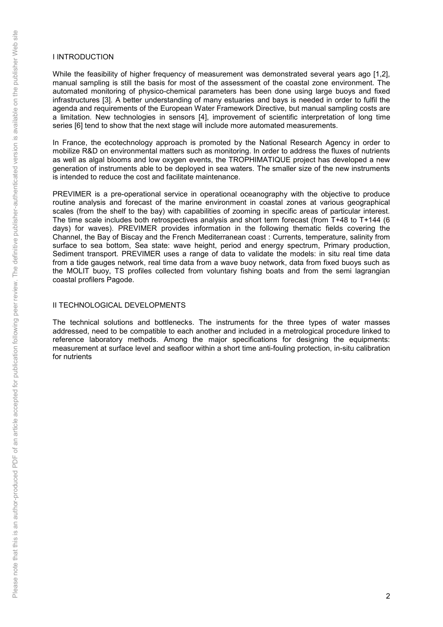### I INTRODUCTION

While the feasibility of higher frequency of measurement was demonstrated several years ago [1,2], manual sampling is still the basis for most of the assessment of the coastal zone environment. The automated monitoring of physico-chemical parameters has been done using large buoys and fixed infrastructures [3]. A better understanding of many estuaries and bays is needed in order to fulfil the agenda and requirements of the European Water Framework Directive, but manual sampling costs are a limitation. New technologies in sensors [4], improvement of scientific interpretation of long time series [6] tend to show that the next stage will include more automated measurements.

In France, the ecotechnology approach is promoted by the National Research Agency in order to mobilize R&D on environmental matters such as monitoring. In order to address the fluxes of nutrients as well as algal blooms and low oxygen events, the TROPHIMATIQUE project has developed a new generation of instruments able to be deployed in sea waters. The smaller size of the new instruments is intended to reduce the cost and facilitate maintenance.

PREVIMER is a pre-operational service in operational oceanography with the objective to produce routine analysis and forecast of the marine environment in coastal zones at various geographical scales (from the shelf to the bay) with capabilities of zooming in specific areas of particular interest. The time scale includes both retrospectives analysis and short term forecast (from T+48 to T+144 (6 days) for waves). PREVIMER provides information in the following thematic fields covering the Channel, the Bay of Biscay and the French Mediterranean coast : Currents, temperature, salinity from surface to sea bottom, Sea state: wave height, period and energy spectrum, Primary production, Sediment transport. PREVIMER uses a range of data to validate the models: in situ real time data from a tide gauges network, real time data from a wave buoy network, data from fixed buoys such as the MOLIT buoy, TS profiles collected from voluntary fishing boats and from the semi lagrangian coastal profilers Pagode.

## II TECHNOLOGICAL DEVELOPMENTS

The technical solutions and bottlenecks. The instruments for the three types of water masses addressed, need to be compatible to each another and included in a metrological procedure linked to reference laboratory methods. Among the major specifications for designing the equipments: measurement at surface level and seafloor within a short time anti-fouling protection, in-situ calibration for nutrients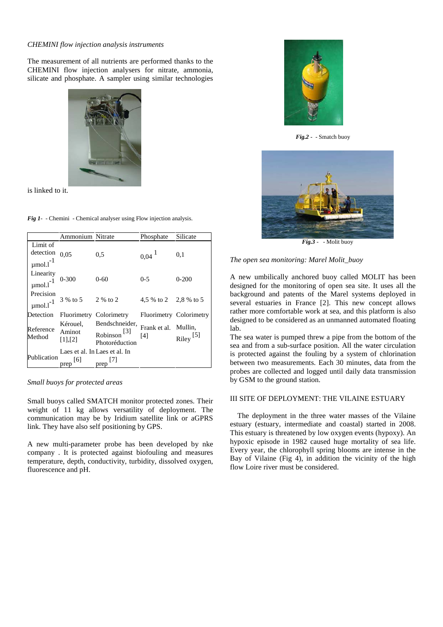#### *CHEMINI flow injection analysis instruments*

The measurement of all nutrients are performed thanks to the CHEMINI flow injection analysers for nitrate, ammonia, silicate and phosphate. A sampler using similar technologies



is linked to it.

|  | <b>Fig 1-</b> - Chemini - Chemical analyser using Flow injection analysis. |  |  |
|--|----------------------------------------------------------------------------|--|--|
|  |                                                                            |  |  |

|                                                    | Ammonium Nitrate              |                                                     | Phosphate                   | Silicate                |
|----------------------------------------------------|-------------------------------|-----------------------------------------------------|-----------------------------|-------------------------|
| Limit of<br>detection<br>$\mu$ mol.l <sup>-1</sup> | 0.05                          | 0.5                                                 | 0,04                        | 0,1                     |
| Linearity<br>$\mu$ mol.l <sup>-1</sup>             | $0 - 300$                     | $0 - 60$                                            | $0 - 5$                     | $0 - 200$               |
| Precision<br>$\mu$ mol.l <sup>-1</sup>             | 3 % to 5 2 % to 2             |                                                     | 4,5 % to 2 2,8 % to 5       |                         |
| Detection                                          |                               | Fluorimetry Colorimetry                             |                             | Fluorimetry Colorimetry |
| Reference<br>Method                                | Kérouel,<br>Aminot<br>[1],[2] | Bendschneider,<br>[3]<br>Robinson<br>Photoréduction | Frank et al. Mullin,<br>[4] | $Riley$ <sup>[5]</sup>  |
| Publication                                        | prep                          | Laes et al. In Laes et al. In<br>prep               |                             |                         |

### *Small buoys for protected areas*

Small buoys called SMATCH monitor protected zones. Their weight of 11 kg allows versatility of deployment. The communication may be by Iridium satellite link or aGPRS link. They have also self positioning by GPS.

A new multi-parameter probe has been developed by nke company . It is protected against biofouling and measures temperature, depth, conductivity, turbidity, dissolved oxygen, fluorescence and pH.



*Fig.2* - - Smatch buoy



*Fig.3* - - Molit buoy

*The open sea monitoring: Marel Molit\_buoy* 

A new umbilically anchored buoy called MOLIT has been designed for the monitoring of open sea site. It uses all the background and patents of the Marel systems deployed in several estuaries in France [2]. This new concept allows rather more comfortable work at sea, and this platform is also designed to be considered as an unmanned automated floating lab.

The sea water is pumped threw a pipe from the bottom of the sea and from a sub-surface position. All the water circulation is protected against the fouling by a system of chlorination between two measurements. Each 30 minutes, data from the probes are collected and logged until daily data transmission by GSM to the ground station.

### III SITE OF DEPLOYMENT: THE VILAINE ESTUARY

The deployment in the three water masses of the Vilaine estuary (estuary, intermediate and coastal) started in 2008. This estuary is threatened by low oxygen events (hypoxy). An hypoxic episode in 1982 caused huge mortality of sea life. Every year, the chlorophyll spring blooms are intense in the Bay of Vilaine (Fig 4), in addition the vicinity of the high flow Loire river must be considered.